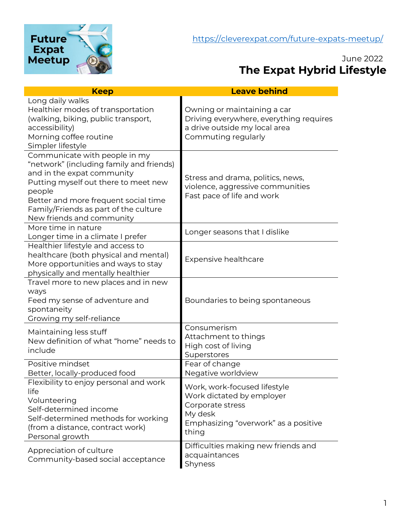

# June 2022 **The Expat Hybrid Lifestyle**

| <b>Keep</b>                                                                                                                                                                                                                                                             | <b>Leave behind</b>                                                                                                                       |
|-------------------------------------------------------------------------------------------------------------------------------------------------------------------------------------------------------------------------------------------------------------------------|-------------------------------------------------------------------------------------------------------------------------------------------|
| Long daily walks<br>Healthier modes of transportation<br>(walking, biking, public transport,<br>accessibility)<br>Morning coffee routine<br>Simpler lifestyle                                                                                                           | Owning or maintaining a car<br>Driving everywhere, everything requires<br>a drive outside my local area<br>Commuting regularly            |
| Communicate with people in my<br>"network" (including family and friends)<br>and in the expat community<br>Putting myself out there to meet new<br>people<br>Better and more frequent social time<br>Family/Friends as part of the culture<br>New friends and community | Stress and drama, politics, news,<br>violence, aggressive communities<br>Fast pace of life and work                                       |
| More time in nature<br>Longer time in a climate I prefer                                                                                                                                                                                                                | Longer seasons that I dislike                                                                                                             |
| Healthier lifestyle and access to<br>healthcare (both physical and mental)<br>More opportunities and ways to stay<br>physically and mentally healthier                                                                                                                  | <b>Expensive healthcare</b>                                                                                                               |
| Travel more to new places and in new<br>ways<br>Feed my sense of adventure and<br>spontaneity<br>Growing my self-reliance                                                                                                                                               | Boundaries to being spontaneous                                                                                                           |
| Maintaining less stuff<br>New definition of what "home" needs to<br>include                                                                                                                                                                                             | Consumerism<br>Attachment to things<br>High cost of living<br>Superstores                                                                 |
| Positive mindset<br>Better, locally-produced food                                                                                                                                                                                                                       | Fear of change<br>Negative worldview                                                                                                      |
| Flexibility to enjoy personal and work<br>life<br>Volunteering<br>Self-determined income<br>Self-determined methods for working<br>(from a distance, contract work)<br>Personal growth                                                                                  | Work, work-focused lifestyle<br>Work dictated by employer<br>Corporate stress<br>My desk<br>Emphasizing "overwork" as a positive<br>thing |
| Appreciation of culture<br>Community-based social acceptance                                                                                                                                                                                                            | Difficulties making new friends and<br>acquaintances<br>Shyness                                                                           |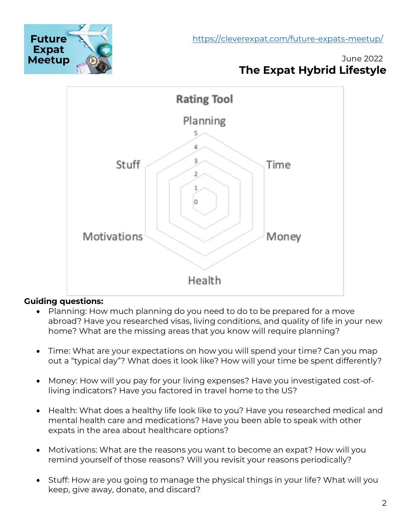<https://cleverexpat.com/future-expats-meetup/>



### June 2022 **The Expat Hybrid Lifestyle**



### **Guiding questions:**

- Planning: How much planning do you need to do to be prepared for a move abroad? Have you researched visas, living conditions, and quality of life in your new home? What are the missing areas that you know will require planning?
- Time: What are your expectations on how you will spend your time? Can you map out a "typical day"? What does it look like? How will your time be spent differently?
- Money: How will you pay for your living expenses? Have you investigated cost-ofliving indicators? Have you factored in travel home to the US?
- Health: What does a healthy life look like to you? Have you researched medical and mental health care and medications? Have you been able to speak with other expats in the area about healthcare options?
- Motivations: What are the reasons you want to become an expat? How will you remind yourself of those reasons? Will you revisit your reasons periodically?
- Stuff: How are you going to manage the physical things in your life? What will you keep, give away, donate, and discard?